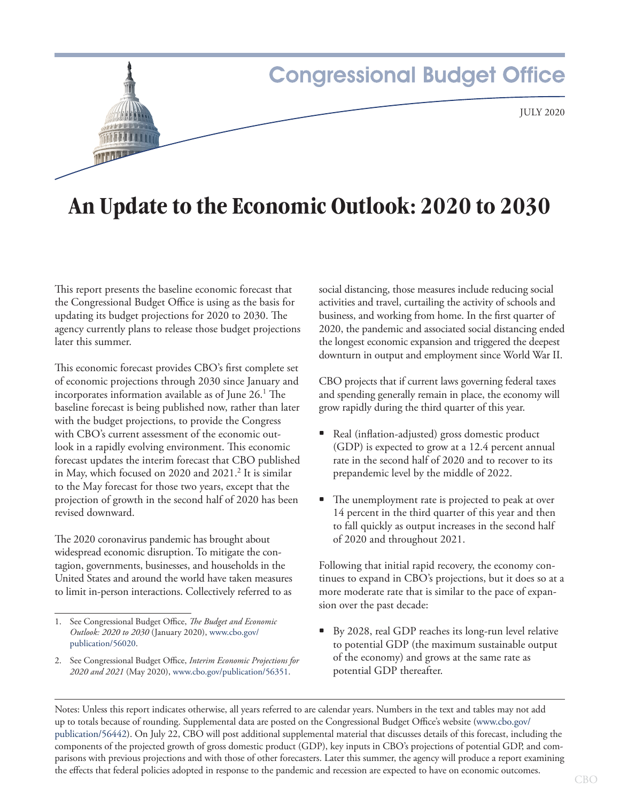

# **An Update to the Economic Outlook: 2020 to 2030**

This report presents the baseline economic forecast that the Congressional Budget Office is using as the basis for updating its budget projections for 2020 to 2030. The agency currently plans to release those budget projections later this summer.

This economic forecast provides CBO's first complete set of economic projections through 2030 since January and incorporates information available as of June 26.1 The baseline forecast is being published now, rather than later with the budget projections, to provide the Congress with CBO's current assessment of the economic outlook in a rapidly evolving environment. This economic forecast updates the interim forecast that CBO published in May, which focused on 2020 and 2021.<sup>2</sup> It is similar to the May forecast for those two years, except that the projection of growth in the second half of 2020 has been revised downward.

The 2020 coronavirus pandemic has brought about widespread economic disruption. To mitigate the contagion, governments, businesses, and households in the United States and around the world have taken measures to limit in-person interactions. Collectively referred to as

social distancing, those measures include reducing social activities and travel, curtailing the activity of schools and business, and working from home. In the first quarter of 2020, the pandemic and associated social distancing ended the longest economic expansion and triggered the deepest downturn in output and employment since World War II.

CBO projects that if current laws governing federal taxes and spending generally remain in place, the economy will grow rapidly during the third quarter of this year.

- Real (inflation-adjusted) gross domestic product (GDP) is expected to grow at a 12.4 percent annual rate in the second half of 2020 and to recover to its prepandemic level by the middle of 2022.
- The unemployment rate is projected to peak at over 14 percent in the third quarter of this year and then to fall quickly as output increases in the second half of 2020 and throughout 2021.

Following that initial rapid recovery, the economy continues to expand in CBO's projections, but it does so at a more moderate rate that is similar to the pace of expansion over the past decade:

• By 2028, real GDP reaches its long-run level relative to potential GDP (the maximum sustainable output of the economy) and grows at the same rate as potential GDP thereafter.

Notes: Unless this report indicates otherwise, all years referred to are calendar years. Numbers in the text and tables may not add up to totals because of rounding. Supplemental data are posted on the Congressional Budget Office's website ([www.cbo.gov/](http://www.cbo.gov/publication/56442) [publication/56442](http://www.cbo.gov/publication/56442)). On July 22, CBO will post additional supplemental material that discusses details of this forecast, including the components of the projected growth of gross domestic product (GDP), key inputs in CBO's projections of potential GDP, and comparisons with previous projections and with those of other forecasters. Later this summer, the agency will produce a report examining the effects that federal policies adopted in response to the pandemic and recession are expected to have on economic outcomes.

<sup>1.</sup> See Congressional Budget Office, *The Budget and Economic Outlook: 2020 to 2030* (January 2020), [www.cbo.gov/](https://www.cbo.gov/publication/56020) [publication/56020](https://www.cbo.gov/publication/56020).

<sup>2.</sup> See Congressional Budget Office, *Interim Economic Projections for 2020 and 2021* (May 2020), [www.cbo.gov/publication/56351.](https://www.cbo.gov/publication/56351)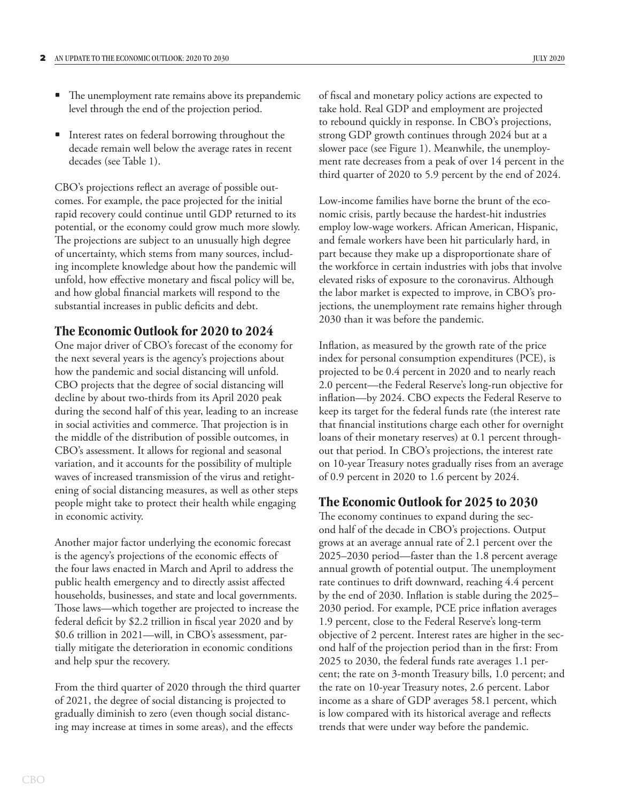- The unemployment rate remains above its prepandemic level through the end of the projection period.
- Interest rates on federal borrowing throughout the decade remain well below the average rates in recent decades (see [Table 1](#page-2-0)).

CBO's projections reflect an average of possible outcomes. For example, the pace projected for the initial rapid recovery could continue until GDP returned to its potential, or the economy could grow much more slowly. The projections are subject to an unusually high degree of uncertainty, which stems from many sources, including incomplete knowledge about how the pandemic will unfold, how effective monetary and fiscal policy will be, and how global financial markets will respond to the substantial increases in public deficits and debt.

# **The Economic Outlook for 2020 to 2024**

One major driver of CBO's forecast of the economy for the next several years is the agency's projections about how the pandemic and social distancing will unfold. CBO projects that the degree of social distancing will decline by about two-thirds from its April 2020 peak during the second half of this year, leading to an increase in social activities and commerce. That projection is in the middle of the distribution of possible outcomes, in CBO's assessment. It allows for regional and seasonal variation, and it accounts for the possibility of multiple waves of increased transmission of the virus and retightening of social distancing measures, as well as other steps people might take to protect their health while engaging in economic activity.

Another major factor underlying the economic forecast is the agency's projections of the economic effects of the four laws enacted in March and April to address the public health emergency and to directly assist affected households, businesses, and state and local governments. Those laws—which together are projected to increase the federal deficit by \$2.2 trillion in fiscal year 2020 and by \$0.6 trillion in 2021—will, in CBO's assessment, partially mitigate the deterioration in economic conditions and help spur the recovery.

From the third quarter of 2020 through the third quarter of 2021, the degree of social distancing is projected to gradually diminish to zero (even though social distancing may increase at times in some areas), and the effects

of fiscal and monetary policy actions are expected to take hold. Real GDP and employment are projected to rebound quickly in response. In CBO's projections, strong GDP growth continues through 2024 but at a slower pace (see [Figure 1\)](#page-3-0). Meanwhile, the unemployment rate decreases from a peak of over 14 percent in the third quarter of 2020 to 5.9 percent by the end of 2024.

Low-income families have borne the brunt of the economic crisis, partly because the hardest-hit industries employ low-wage workers. African American, Hispanic, and female workers have been hit particularly hard, in part because they make up a disproportionate share of the workforce in certain industries with jobs that involve elevated risks of exposure to the coronavirus. Although the labor market is expected to improve, in CBO's projections, the unemployment rate remains higher through 2030 than it was before the pandemic.

Inflation, as measured by the growth rate of the price index for personal consumption expenditures (PCE), is projected to be 0.4 percent in 2020 and to nearly reach 2.0 percent—the Federal Reserve's long-run objective for inflation—by 2024. CBO expects the Federal Reserve to keep its target for the federal funds rate (the interest rate that financial institutions charge each other for overnight loans of their monetary reserves) at 0.1 percent throughout that period. In CBO's projections, the interest rate on 10-year Treasury notes gradually rises from an average of 0.9 percent in 2020 to 1.6 percent by 2024.

# **The Economic Outlook for 2025 to 2030**

The economy continues to expand during the second half of the decade in CBO's projections. Output grows at an average annual rate of 2.1 percent over the 2025–2030 period—faster than the 1.8 percent average annual growth of potential output. The unemployment rate continues to drift downward, reaching 4.4 percent by the end of 2030. Inflation is stable during the 2025– 2030 period. For example, PCE price inflation averages 1.9 percent, close to the Federal Reserve's long-term objective of 2 percent. Interest rates are higher in the second half of the projection period than in the first: From 2025 to 2030, the federal funds rate averages 1.1 percent; the rate on 3-month Treasury bills, 1.0 percent; and the rate on 10-year Treasury notes, 2.6 percent. Labor income as a share of GDP averages 58.1 percent, which is low compared with its historical average and reflects trends that were under way before the pandemic.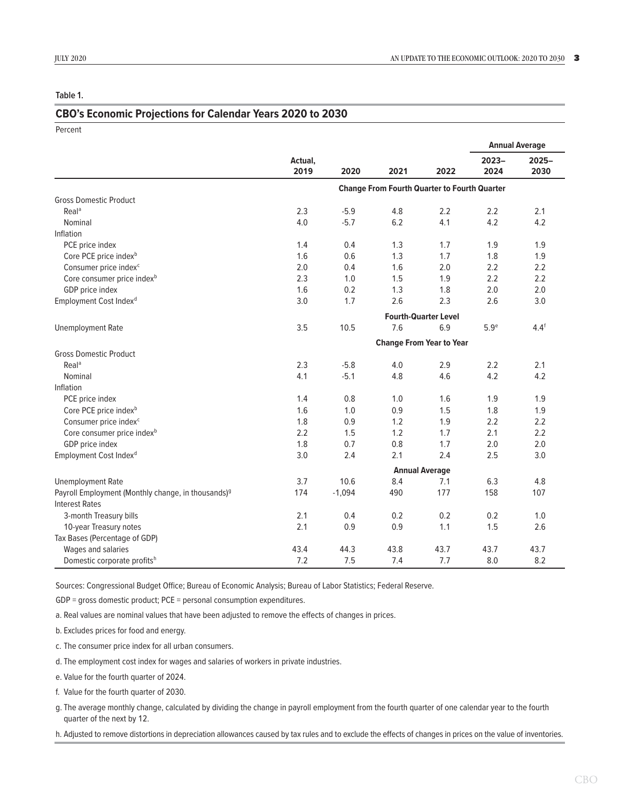<span id="page-2-0"></span>**Table 1.**

#### **CBO's Economic Projections for Calendar Years 2020 to 2030**

| Percent                                                        |                                                     |          |      |      |                       |          |
|----------------------------------------------------------------|-----------------------------------------------------|----------|------|------|-----------------------|----------|
|                                                                |                                                     |          |      |      | <b>Annual Average</b> |          |
|                                                                | Actual,                                             |          |      |      | $2023 -$              | $2025 -$ |
|                                                                | 2019                                                | 2020     | 2021 | 2022 | 2024                  | 2030     |
|                                                                | <b>Change From Fourth Quarter to Fourth Quarter</b> |          |      |      |                       |          |
| <b>Gross Domestic Product</b>                                  |                                                     |          |      |      |                       |          |
| Real <sup>a</sup>                                              | 2.3                                                 | $-5.9$   | 4.8  | 2.2  | 2.2                   | 2.1      |
| Nominal                                                        | 4.0                                                 | $-5.7$   | 6.2  | 4.1  | 4.2                   | 4.2      |
| Inflation                                                      |                                                     |          |      |      |                       |          |
| PCE price index                                                | 1.4                                                 | 0.4      | 1.3  | 1.7  | 1.9                   | 1.9      |
| Core PCE price index <sup>b</sup>                              | 1.6                                                 | 0.6      | 1.3  | 1.7  | 1.8                   | 1.9      |
| Consumer price index <sup>c</sup>                              | 2.0                                                 | 0.4      | 1.6  | 2.0  | 2.2                   | 2.2      |
| Core consumer price index <sup>b</sup>                         | 2.3                                                 | 1.0      | 1.5  | 1.9  | 2.2                   | 2.2      |
| GDP price index                                                | 1.6                                                 | 0.2      | 1.3  | 1.8  | 2.0                   | 2.0      |
| Employment Cost Index <sup>d</sup>                             | 3.0                                                 | 1.7      | 2.6  | 2.3  | 2.6                   | 3.0      |
|                                                                | <b>Fourth-Quarter Level</b>                         |          |      |      |                       |          |
| <b>Unemployment Rate</b>                                       | 3.5                                                 | 10.5     | 7.6  | 6.9  | 5.9 <sup>e</sup>      | $4.4^f$  |
|                                                                | <b>Change From Year to Year</b>                     |          |      |      |                       |          |
| <b>Gross Domestic Product</b>                                  |                                                     |          |      |      |                       |          |
| Real <sup>a</sup>                                              | 2.3                                                 | $-5.8$   | 4.0  | 2.9  | 2.2                   | 2.1      |
| Nominal                                                        | 4.1                                                 | $-5.1$   | 4.8  | 4.6  | 4.2                   | 4.2      |
| Inflation                                                      |                                                     |          |      |      |                       |          |
| PCE price index                                                | 1.4                                                 | 0.8      | 1.0  | 1.6  | 1.9                   | 1.9      |
| Core PCE price index <sup>b</sup>                              | 1.6                                                 | 1.0      | 0.9  | 1.5  | 1.8                   | 1.9      |
| Consumer price index <sup>c</sup>                              | 1.8                                                 | 0.9      | 1.2  | 1.9  | 2.2                   | 2.2      |
| Core consumer price index <sup>b</sup>                         | 2.2                                                 | 1.5      | 1.2  | 1.7  | 2.1                   | 2.2      |
| GDP price index                                                | 1.8                                                 | 0.7      | 0.8  | 1.7  | 2.0                   | 2.0      |
| Employment Cost Index <sup>d</sup>                             | 3.0                                                 | 2.4      | 2.1  | 2.4  | 2.5                   | 3.0      |
|                                                                | <b>Annual Average</b>                               |          |      |      |                       |          |
| <b>Unemployment Rate</b>                                       | 3.7                                                 | 10.6     | 8.4  | 7.1  | 6.3                   | 4.8      |
| Payroll Employment (Monthly change, in thousands) <sup>9</sup> | 174                                                 | $-1,094$ | 490  | 177  | 158                   | 107      |
| <b>Interest Rates</b>                                          |                                                     |          |      |      |                       |          |
| 3-month Treasury bills                                         | 2.1                                                 | 0.4      | 0.2  | 0.2  | 0.2                   | 1.0      |
| 10-year Treasury notes                                         | 2.1                                                 | 0.9      | 0.9  | 1.1  | 1.5                   | 2.6      |
| Tax Bases (Percentage of GDP)                                  |                                                     |          |      |      |                       |          |
| Wages and salaries                                             | 43.4                                                | 44.3     | 43.8 | 43.7 | 43.7                  | 43.7     |
| Domestic corporate profitsh                                    | 7.2                                                 | 7.5      | 7.4  | 7.7  | 8.0                   | 8.2      |

Sources: Congressional Budget Office; Bureau of Economic Analysis; Bureau of Labor Statistics; Federal Reserve.

GDP = gross domestic product; PCE = personal consumption expenditures.

a. Real values are nominal values that have been adjusted to remove the effects of changes in prices.

b. Excludes prices for food and energy.

c. The consumer price index for all urban consumers.

d. The employment cost index for wages and salaries of workers in private industries.

e. Value for the fourth quarter of 2024.

f. Value for the fourth quarter of 2030.

g. The average monthly change, calculated by dividing the change in payroll employment from the fourth quarter of one calendar year to the fourth quarter of the next by 12.

h. Adjusted to remove distortions in depreciation allowances caused by tax rules and to exclude the effects of changes in prices on the value of inventories.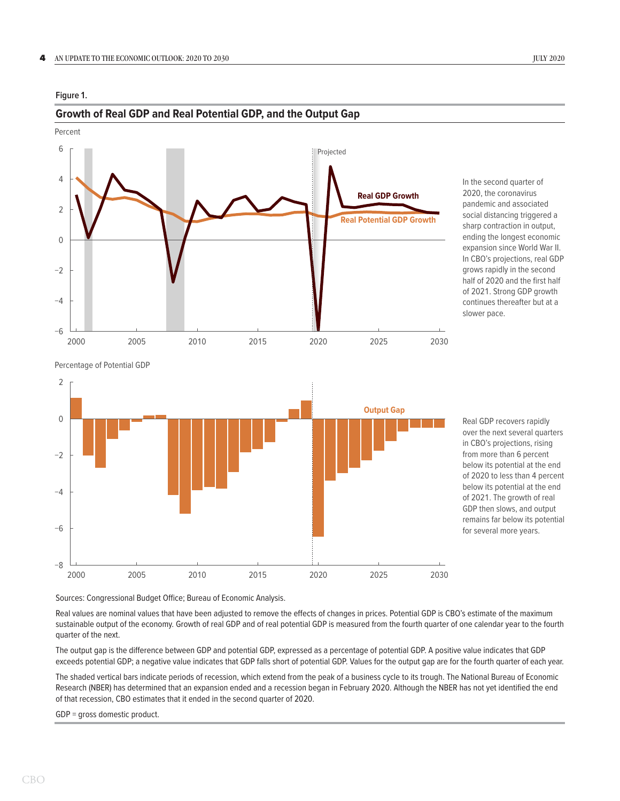#### <span id="page-3-0"></span>**Figure 1.**

# Projected −6 −4  $-2$ 0 2 4 6 2000 2005 2010 2015 2020 2025 2030 Percent **Real GDP Growth Real Potential GDP Growth**

**Growth of Real GDP and Real Potential GDP, and the Output Gap**



#### Percentage of Potential GDP



Real GDP recovers rapidly over the next several quarters in CBO's projections, rising from more than 6 percent below its potential at the end of 2020 to less than 4 percent below its potential at the end of 2021. The growth of real GDP then slows, and output remains far below its potential for several more years.

Sources: Congressional Budget Office; Bureau of Economic Analysis.

Real values are nominal values that have been adjusted to remove the effects of changes in prices. Potential GDP is CBO's estimate of the maximum sustainable output of the economy. Growth of real GDP and of real potential GDP is measured from the fourth quarter of one calendar year to the fourth quarter of the next.

The output gap is the difference between GDP and potential GDP, expressed as a percentage of potential GDP. A positive value indicates that GDP exceeds potential GDP; a negative value indicates that GDP falls short of potential GDP. Values for the output gap are for the fourth quarter of each year.

The shaded vertical bars indicate periods of recession, which extend from the peak of a business cycle to its trough. The National Bureau of Economic Research (NBER) has determined that an expansion ended and a recession began in February 2020. Although the NBER has not yet identified the end of that recession, CBO estimates that it ended in the second quarter of 2020.

GDP = gross domestic product.

CBO